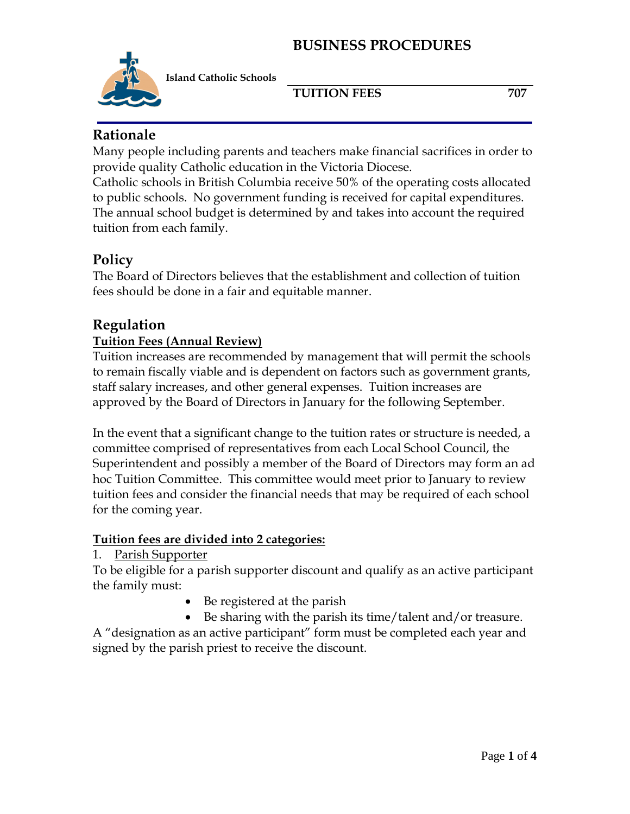

**Island Catholic Schools** 

**TUITION FEES** 707

# **Rationale**

Many people including parents and teachers make financial sacrifices in order to provide quality Catholic education in the Victoria Diocese.

Catholic schools in British Columbia receive 50% of the operating costs allocated to public schools. No government funding is received for capital expenditures. The annual school budget is determined by and takes into account the required tuition from each family.

# **Policy**

The Board of Directors believes that the establishment and collection of tuition fees should be done in a fair and equitable manner.

## **Regulation**

## **Tuition Fees (Annual Review)**

Tuition increases are recommended by management that will permit the schools to remain fiscally viable and is dependent on factors such as government grants, staff salary increases, and other general expenses. Tuition increases are approved by the Board of Directors in January for the following September.

In the event that a significant change to the tuition rates or structure is needed, a committee comprised of representatives from each Local School Council, the Superintendent and possibly a member of the Board of Directors may form an ad hoc Tuition Committee. This committee would meet prior to January to review tuition fees and consider the financial needs that may be required of each school for the coming year.

## **Tuition fees are divided into 2 categories:**

## 1. Parish Supporter

To be eligible for a parish supporter discount and qualify as an active participant the family must:

- Be registered at the parish
- Be sharing with the parish its time/talent and/or treasure.

A "designation as an active participant" form must be completed each year and signed by the parish priest to receive the discount.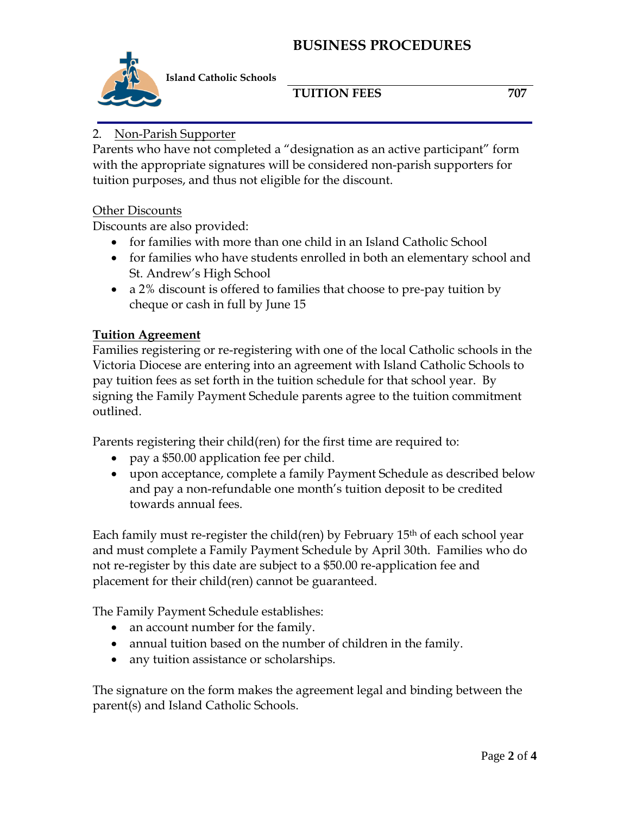

**Island Catholic Schools** 

## **TUITION FEES** 707

## 2. Non-Parish Supporter

Parents who have not completed a "designation as an active participant" form with the appropriate signatures will be considered non-parish supporters for tuition purposes, and thus not eligible for the discount.

#### Other Discounts

Discounts are also provided:

- for families with more than one child in an Island Catholic School
- for families who have students enrolled in both an elementary school and St. Andrew's High School
- a 2% discount is offered to families that choose to pre-pay tuition by cheque or cash in full by June 15

#### **Tuition Agreement**

Families registering or re-registering with one of the local Catholic schools in the Victoria Diocese are entering into an agreement with Island Catholic Schools to pay tuition fees as set forth in the tuition schedule for that school year. By signing the Family Payment Schedule parents agree to the tuition commitment outlined.

Parents registering their child(ren) for the first time are required to:

- pay a \$50.00 application fee per child.
- upon acceptance, complete a family Payment Schedule as described below and pay a non-refundable one month's tuition deposit to be credited towards annual fees.

Each family must re-register the child(ren) by February 15th of each school year and must complete a Family Payment Schedule by April 30th. Families who do not re-register by this date are subject to a \$50.00 re-application fee and placement for their child(ren) cannot be guaranteed.

The Family Payment Schedule establishes:

- an account number for the family.
- annual tuition based on the number of children in the family.
- any tuition assistance or scholarships.

The signature on the form makes the agreement legal and binding between the parent(s) and Island Catholic Schools.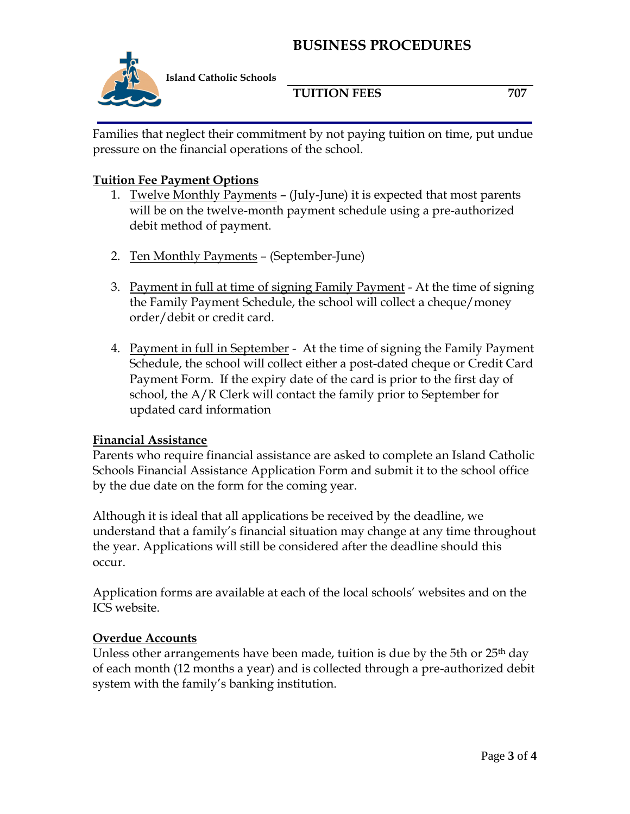## **BUSINESS PROCEDURES**



**Island Catholic Schools** 

**TUITION FEES** 707

Families that neglect their commitment by not paying tuition on time, put undue pressure on the financial operations of the school.

#### **Tuition Fee Payment Options**

- 1. Twelve Monthly Payments (July-June) it is expected that most parents will be on the twelve-month payment schedule using a pre-authorized debit method of payment.
- 2. Ten Monthly Payments (September-June)
- 3. Payment in full at time of signing Family Payment At the time of signing the Family Payment Schedule, the school will collect a cheque/money order/debit or credit card.
- 4. Payment in full in September At the time of signing the Family Payment Schedule, the school will collect either a post-dated cheque or Credit Card Payment Form. If the expiry date of the card is prior to the first day of school, the A/R Clerk will contact the family prior to September for updated card information

#### **Financial Assistance**

Parents who require financial assistance are asked to complete an Island Catholic Schools Financial Assistance Application Form and submit it to the school office by the due date on the form for the coming year.

Although it is ideal that all applications be received by the deadline, we understand that a family's financial situation may change at any time throughout the year. Applications will still be considered after the deadline should this occur.

Application forms are available at each of the local schools' websites and on the ICS website.

#### **Overdue Accounts**

Unless other arrangements have been made, tuition is due by the 5th or 25<sup>th</sup> day of each month (12 months a year) and is collected through a pre-authorized debit system with the family's banking institution.